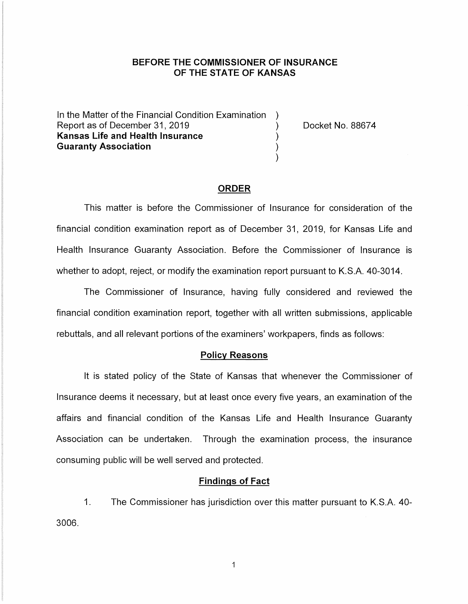### **BEFORE THE COMMISSIONER OF INSURANCE OF THE STATE OF KANSAS**

In the Matter of the Financial Condition Examination Report as of December 31, 2019 (and the control of the Docket No. 88674) **Kansas Life and Health Insurance** ) **Guaranty Association** )

### **ORDER**

)

This matter is before the Commissioner of Insurance for consideration of the financial condition examination report as of December 31, 2019, for Kansas Life and Health Insurance Guaranty Association. Before the Commissioner of Insurance is whether to adopt, reject, or modify the examination report pursuant to K.S.A. 40-3014.

The Commissioner of Insurance, having fully considered and reviewed the financial condition examination report, together with all written submissions, applicable rebuttals, and all relevant portions of the examiners' workpapers, finds as follows:

### **Policy Reasons**

It is stated policy of the State of Kansas that whenever the Commissioner of Insurance deems it necessary, but at least once every five years, an examination of the affairs and financial condition of the Kansas Life and Health Insurance Guaranty Association can be undertaken. Through the examination process, the insurance consuming public will be well served and protected.

#### **Findings of Fact**

1. The Commissioner has jurisdiction over this matter pursuant to K.S.A. 40- 3006.

 $\mathbf{1}$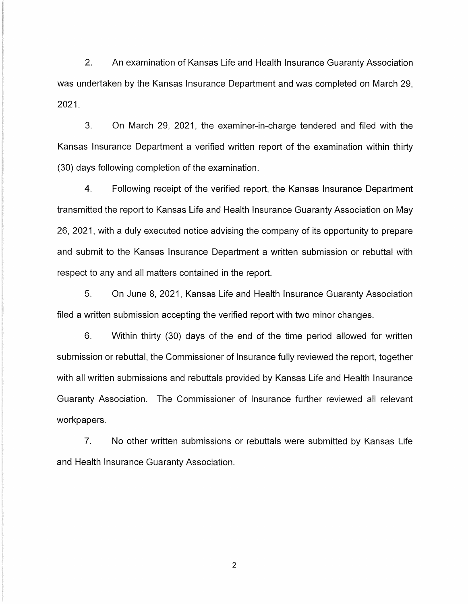2. An examination of Kansas Life and Health Insurance Guaranty Association was undertaken by the Kansas Insurance Department and was completed on March 29, 2021.

3. On March 29, 2021, the examiner-in-charge tendered and filed with the Kansas Insurance Department a verified written report of the examination within thirty (30) days following completion of the examination.

4. Following receipt of the verified report, the Kansas Insurance Department transmitted the report to Kansas Life and Health Insurance Guaranty Association on May 26, 2021, with a duly executed notice advising the company of its opportunity to prepare and submit to the Kansas Insurance Department a written submission or rebuttal with respect to any and all matters contained in the report.

5. On June 8, 2021, Kansas Life and Health Insurance Guaranty Association filed a written submission accepting the verified report with two minor changes.

6. Within thirty (30) days of the end of the time period allowed for written submission or rebuttal, the Commissioner of Insurance fully reviewed the report, together with all written submissions and rebuttals provided by Kansas Life and Health Insurance Guaranty Association. The Commissioner of Insurance further reviewed all relevant workpapers.

7. No other written submissions or rebuttals were submitted by Kansas Life and Health Insurance Guaranty Association.

2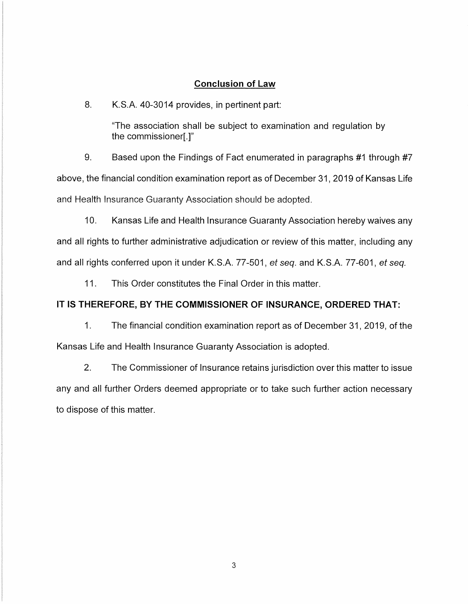## **Conclusion of Law**

8. K.S.A. 40-3014 provides, in pertinent part:

"The association shall be subject to examination and regulation by the commissioner[.]"

9. Based upon the Findings of Fact enumerated in paragraphs #1 through #7 above, the financial condition examination report as of December 31, 2019 of Kansas Life and Health Insurance Guaranty Association should be adopted.

10. Kansas Life and Health Insurance Guaranty Association hereby waives any and all rights to further administrative adjudication or review of this matter, including any and all rights conferred upon it under K.S.A. 77-501, et seq. and K.S.A. 77-601, et seq.

11. This Order constitutes the Final Order in this matter.

# **IT 15 THEREFORE, BY THE COMMISSIONER OF INSURANCE, ORDERED THAT:**

1. The financial condition examination report as of December 31, 2019, of the Kansas Life and Health Insurance Guaranty Association is adopted.

2. The Commissioner of Insurance retains jurisdiction over this matter to issue any and all further Orders deemed appropriate or to take such further action necessary to dispose of this matter.

3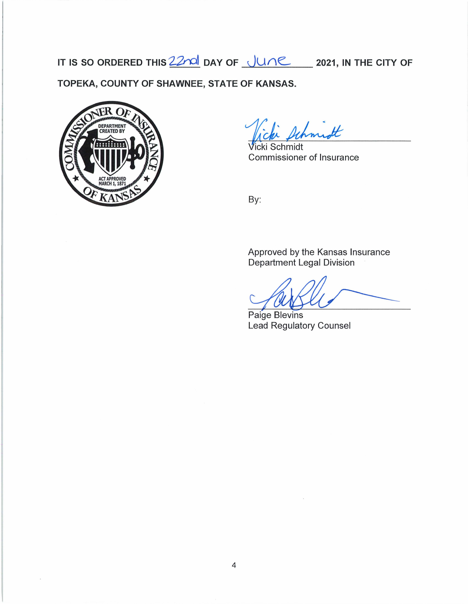IT IS SO ORDERED THIS 22nd DAY OF JUNE 2021, IN THE CITY OF

TOPEKA, COUNTY OF SHAWNEE, STATE OF KANSAS.



Vicki Schmidt Commissioner of Insurance

By:

Approved by the Kansas Insurance Department Legal Division

Paige Blevins **Lead Regulatory Counsel**